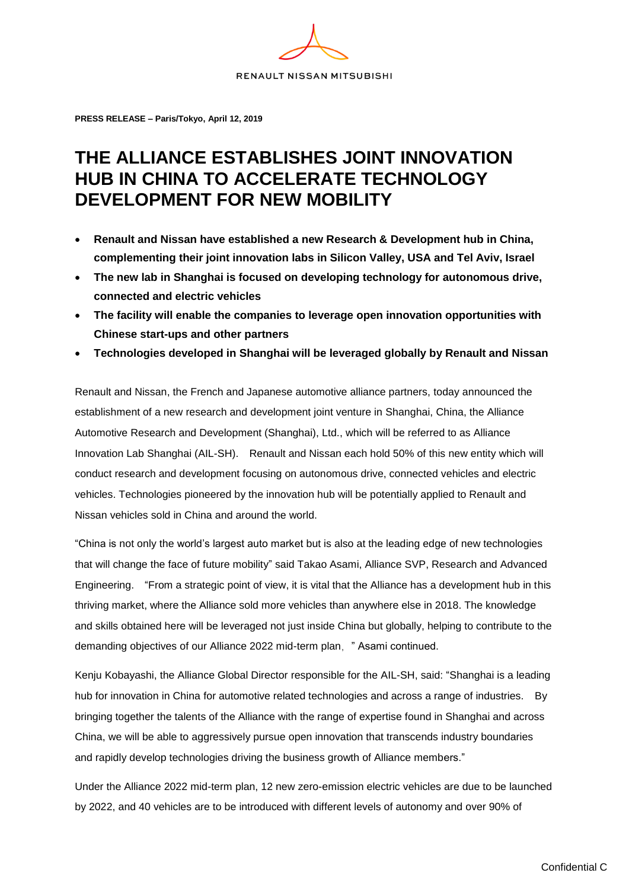

**PRESS RELEASE – Paris/Tokyo, April 12, 2019**

## **THE ALLIANCE ESTABLISHES JOINT INNOVATION HUB IN CHINA TO ACCELERATE TECHNOLOGY DEVELOPMENT FOR NEW MOBILITY**

- **Renault and Nissan have established a new Research & Development hub in China, complementing their joint innovation labs in Silicon Valley, USA and Tel Aviv, Israel**
- **The new lab in Shanghai is focused on developing technology for autonomous drive, connected and electric vehicles**
- **The facility will enable the companies to leverage open innovation opportunities with Chinese start-ups and other partners**
- **Technologies developed in Shanghai will be leveraged globally by Renault and Nissan**

Renault and Nissan, the French and Japanese automotive alliance partners, today announced the establishment of a new research and development joint venture in Shanghai, China, the Alliance Automotive Research and Development (Shanghai), Ltd., which will be referred to as Alliance Innovation Lab Shanghai (AIL-SH). Renault and Nissan each hold 50% of this new entity which will conduct research and development focusing on autonomous drive, connected vehicles and electric vehicles. Technologies pioneered by the innovation hub will be potentially applied to Renault and Nissan vehicles sold in China and around the world.

"China is not only the world's largest auto market but is also at the leading edge of new technologies that will change the face of future mobility" said Takao Asami, Alliance SVP, Research and Advanced Engineering. "From a strategic point of view, it is vital that the Alliance has a development hub in this thriving market, where the Alliance sold more vehicles than anywhere else in 2018. The knowledge and skills obtained here will be leveraged not just inside China but globally, helping to contribute to the demanding objectives of our Alliance 2022 mid-term plan, "Asami continued.

Kenju Kobayashi, the Alliance Global Director responsible for the AIL-SH, said: "Shanghai is a leading hub for innovation in China for automotive related technologies and across a range of industries. By bringing together the talents of the Alliance with the range of expertise found in Shanghai and across China, we will be able to aggressively pursue open innovation that transcends industry boundaries and rapidly develop technologies driving the business growth of Alliance members."

Under the Alliance 2022 mid-term plan, 12 new zero-emission electric vehicles are due to be launched by 2022, and 40 vehicles are to be introduced with different levels of autonomy and over 90% of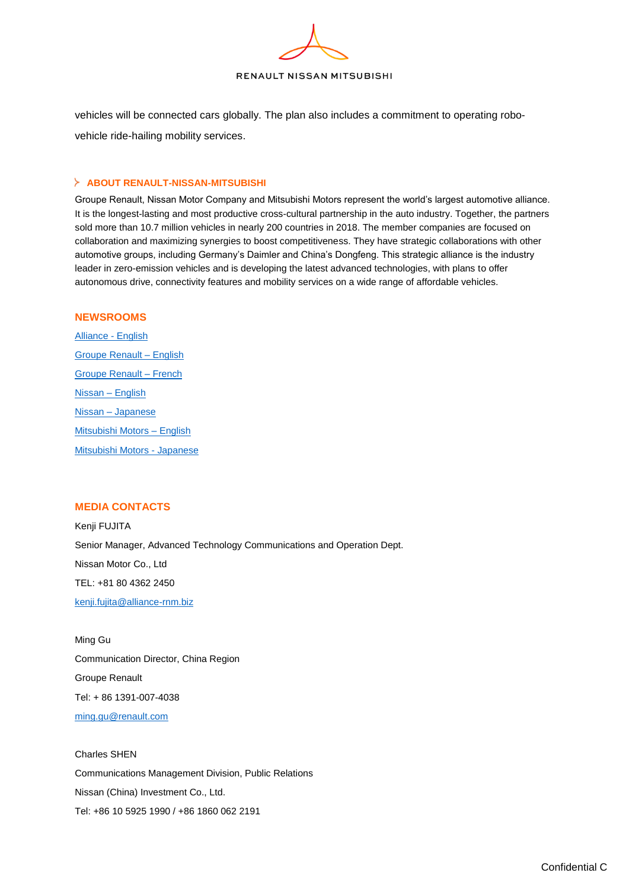

vehicles will be connected cars globally. The plan also includes a commitment to operating robovehicle ride-hailing mobility services.

## **ABOUT RENAULT-NISSAN-MITSUBISHI**

Groupe Renault, Nissan Motor Company and Mitsubishi Motors represent the world's largest automotive alliance. It is the longest-lasting and most productive cross-cultural partnership in the auto industry. Together, the partners sold more than 10.7 million vehicles in nearly 200 countries in 2018. The member companies are focused on collaboration and maximizing synergies to boost competitiveness. They have strategic collaborations with other automotive groups, including Germany's Daimler and China's Dongfeng. This strategic alliance is the industry leader in zero-emission vehicles and is developing the latest advanced technologies, with plans to offer autonomous drive, connectivity features and mobility services on a wide range of affordable vehicles.

## **NEWSROOMS**

[Alliance -](http://www.alliance-2022.com/) English [Groupe Renault –](https://media.group.renault.com/global/en-gb) English [Groupe Renault –](https://media.group.renault.com/global/fr-fr) French [Nissan –](https://newsroom.nissan-global.com/?lang=en-US) English Nissan – [Japanese](https://newsroom.nissan-global.com/?lang=ja-JP) [Mitsubishi Motors –](http://www.mitsubishi-motors.com/en/newsrelease/) English [Mitsubishi Motors -](http://www.mitsubishi-motors.com/jp/newsrelease/) Japanese

## **MEDIA CONTACTS**

Kenji FUJITA Senior Manager, Advanced Technology Communications and Operation Dept. Nissan Motor Co., Ltd TEL: +81 80 4362 2450 [kenji.fujita@alliance-rnm.biz](mailto:kenji.fujita@alliance-rnm.biz)

Ming Gu Communication Director, China Region Groupe Renault Tel: + 86 1391-007-4038 [ming.gu@renault.com](mailto:ming.gu@renault.com)

Charles SHEN Communications Management Division, Public Relations Nissan (China) Investment Co., Ltd. Tel: +86 10 5925 1990 / +86 1860 062 2191